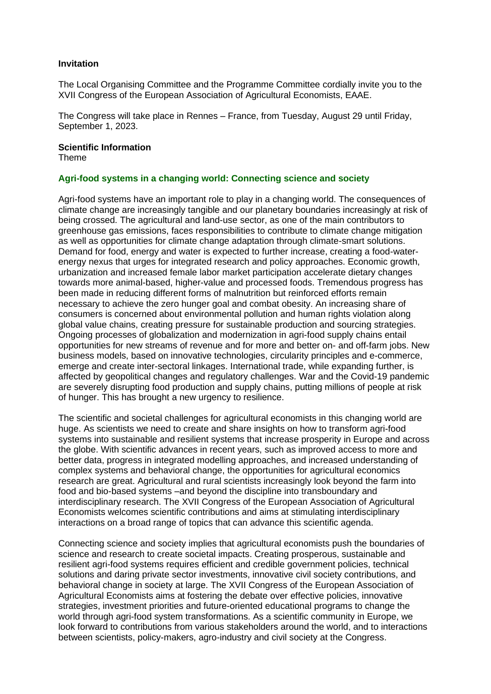# **Invitation**

The Local Organising Committee and the Programme Committee cordially invite you to the XVII Congress of the European Association of Agricultural Economists, EAAE.

The Congress will take place in Rennes – France, from Tuesday, August 29 until Friday, September 1, 2023.

#### **Scientific Information**

Theme

#### **Agri-food systems in a changing world: Connecting science and society**

Agri-food systems have an important role to play in a changing world. The consequences of climate change are increasingly tangible and our planetary boundaries increasingly at risk of being crossed. The agricultural and land-use sector, as one of the main contributors to greenhouse gas emissions, faces responsibilities to contribute to climate change mitigation as well as opportunities for climate change adaptation through climate-smart solutions. Demand for food, energy and water is expected to further increase, creating a food-waterenergy nexus that urges for integrated research and policy approaches. Economic growth, urbanization and increased female labor market participation accelerate dietary changes towards more animal-based, higher-value and processed foods. Tremendous progress has been made in reducing different forms of malnutrition but reinforced efforts remain necessary to achieve the zero hunger goal and combat obesity. An increasing share of consumers is concerned about environmental pollution and human rights violation along global value chains, creating pressure for sustainable production and sourcing strategies. Ongoing processes of globalization and modernization in agri-food supply chains entail opportunities for new streams of revenue and for more and better on- and off-farm jobs. New business models, based on innovative technologies, circularity principles and e-commerce, emerge and create inter-sectoral linkages. International trade, while expanding further, is affected by geopolitical changes and regulatory challenges. War and the Covid-19 pandemic are severely disrupting food production and supply chains, putting millions of people at risk of hunger. This has brought a new urgency to resilience.

The scientific and societal challenges for agricultural economists in this changing world are huge. As scientists we need to create and share insights on how to transform agri-food systems into sustainable and resilient systems that increase prosperity in Europe and across the globe. With scientific advances in recent years, such as improved access to more and better data, progress in integrated modelling approaches, and increased understanding of complex systems and behavioral change, the opportunities for agricultural economics research are great. Agricultural and rural scientists increasingly look beyond the farm into food and bio-based systems –and beyond the discipline into transboundary and interdisciplinary research. The XVII Congress of the European Association of Agricultural Economists welcomes scientific contributions and aims at stimulating interdisciplinary interactions on a broad range of topics that can advance this scientific agenda.

Connecting science and society implies that agricultural economists push the boundaries of science and research to create societal impacts. Creating prosperous, sustainable and resilient agri-food systems requires efficient and credible government policies, technical solutions and daring private sector investments, innovative civil society contributions, and behavioral change in society at large. The XVII Congress of the European Association of Agricultural Economists aims at fostering the debate over effective policies, innovative strategies, investment priorities and future-oriented educational programs to change the world through agri-food system transformations. As a scientific community in Europe, we look forward to contributions from various stakeholders around the world, and to interactions between scientists, policy-makers, agro-industry and civil society at the Congress.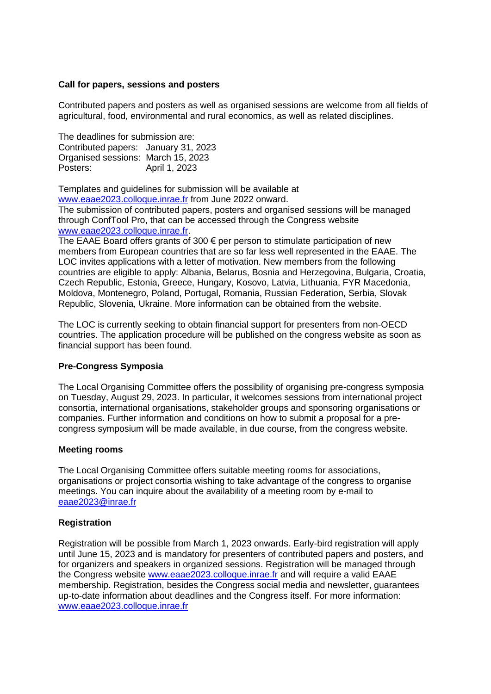# **Call for papers, sessions and posters**

Contributed papers and posters as well as organised sessions are welcome from all fields of agricultural, food, environmental and rural economics, as well as related disciplines.

The deadlines for submission are: Contributed papers: January 31, 2023 Organised sessions: March 15, 2023 Posters: April 1, 2023

Templates and guidelines for submission will be available at

[www.eaae2023.colloque.inrae.fr](http://www.eaae2023.colloque.inrae.fr/) from June 2022 onward. The submission of contributed papers, posters and organised sessions will be managed through ConfTool Pro, that can be accessed through the Congress website [www.eaae2023.colloque.inrae.fr.](http://www.eaae2023.colloque.inrae.fr/)

The EAAE Board offers grants of  $300 \in \rho$  per person to stimulate participation of new members from European countries that are so far less well represented in the EAAE. The LOC invites applications with a letter of motivation. New members from the following countries are eligible to apply: Albania, Belarus, Bosnia and Herzegovina, Bulgaria, Croatia, Czech Republic, Estonia, Greece, Hungary, Kosovo, Latvia, Lithuania, FYR Macedonia, Moldova, Montenegro, Poland, Portugal, Romania, Russian Federation, Serbia, Slovak Republic, Slovenia, Ukraine. More information can be obtained from the website.

The LOC is currently seeking to obtain financial support for presenters from non-OECD countries. The application procedure will be published on the congress website as soon as financial support has been found.

# **Pre-Congress Symposia**

The Local Organising Committee offers the possibility of organising pre-congress symposia on Tuesday, August 29, 2023. In particular, it welcomes sessions from international project consortia, international organisations, stakeholder groups and sponsoring organisations or companies. Further information and conditions on how to submit a proposal for a precongress symposium will be made available, in due course, from the congress website.

#### **Meeting rooms**

The Local Organising Committee offers suitable meeting rooms for associations, organisations or project consortia wishing to take advantage of the congress to organise meetings. You can inquire about the availability of a meeting room by e-mail to [eaae2023@inrae.fr](mailto:eaae2023@inrae.fr)

# **Registration**

Registration will be possible from March 1, 2023 onwards. Early-bird registration will apply until June 15, 2023 and is mandatory for presenters of contributed papers and posters, and for organizers and speakers in organized sessions. Registration will be managed through the Congress website [www.eaae2023.colloque.inrae.fr](http://www.eaae2023.colloque.inrae.fr/) and will require a valid EAAE membership. Registration, besides the Congress social media and newsletter, guarantees up-to-date information about deadlines and the Congress itself. For more information: [www.eaae2023.colloque.inrae.fr](http://www.eaae2023.colloque.inrae.fr/)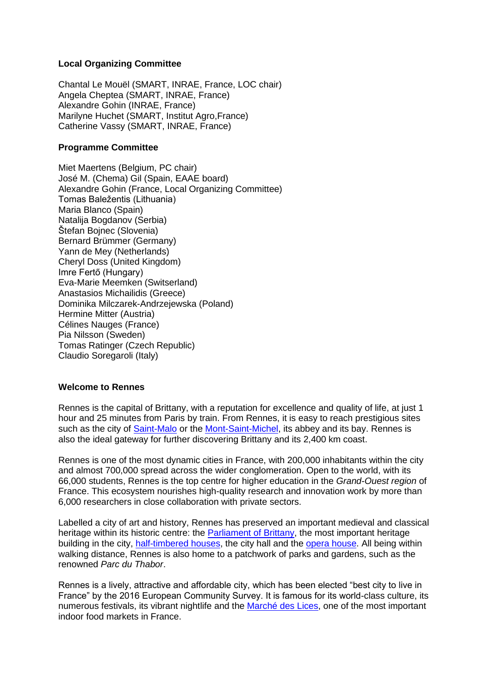# **Local Organizing Committee**

Chantal Le Mouël (SMART, INRAE, France, LOC chair) Angela Cheptea (SMART, INRAE, France) Alexandre Gohin (INRAE, France) Marilyne Huchet (SMART, Institut Agro,France) Catherine Vassy (SMART, INRAE, France)

# **Programme Committee**

Miet Maertens (Belgium, PC chair) José M. (Chema) Gil (Spain, EAAE board) Alexandre Gohin (France, Local Organizing Committee) Tomas Baležentis (Lithuania) Maria Blanco (Spain) Natalija Bogdanov (Serbia) Štefan Bojnec (Slovenia) Bernard Brümmer (Germany) Yann de Mey (Netherlands) Cheryl Doss (United Kingdom) Imre Fertő (Hungary) Eva-Marie Meemken (Switserland) Anastasios Michailidis (Greece) Dominika Milczarek-Andrzejewska (Poland) Hermine Mitter (Austria) Célines Nauges (France) Pia Nilsson (Sweden) Tomas Ratinger (Czech Republic) Claudio Soregaroli (Italy)

# **Welcome to Rennes**

Rennes is the capital of Brittany, with a reputation for excellence and quality of life, at just 1 hour and 25 minutes from Paris by train. From Rennes, it is easy to reach prestigious sites such as the city of [Saint-Malo](https://www.saint-malo-tourisme.co.uk/) or the [Mont-Saint-Michel,](https://www.ot-montsaintmichel.com/en/) its abbey and its bay. Rennes is also the ideal gateway for further discovering Brittany and its 2,400 km coast.

Rennes is one of the most dynamic cities in France, with 200,000 inhabitants within the city and almost 700,000 spread across the wider conglomeration. Open to the world, with its 66,000 students, Rennes is the top centre for higher education in the *Grand-Ouest region* of France. This ecosystem nourishes high-quality research and innovation work by more than 6,000 researchers in close collaboration with private sectors.

Labelled a city of art and history, Rennes has preserved an important medieval and classical heritage within its historic centre: the **Parliament of Brittany**, the most important heritage building in the city, [half-timbered houses,](https://www.tourisme-rennes.com/en/discover-rennes/history-rennes/half-timbered-houses/) the city hall and the [opera house.](https://www.tourisme-rennes.com/en/discover-rennes/history-rennes/rennes-opera-house/) All being within walking distance, Rennes is also home to a patchwork of parks and gardens, such as the renowned *Parc du Thabor*.

Rennes is a lively, attractive and affordable city, which has been elected "best city to live in France" by the 2016 European Community Survey. It is famous for its world-class culture, its numerous festivals, its vibrant nightlife and the [Marché des Lices,](https://www.tourisme-rennes.com/en/discover-rennes/history-rennes/square-lices-history/) one of the most important indoor food markets in France.